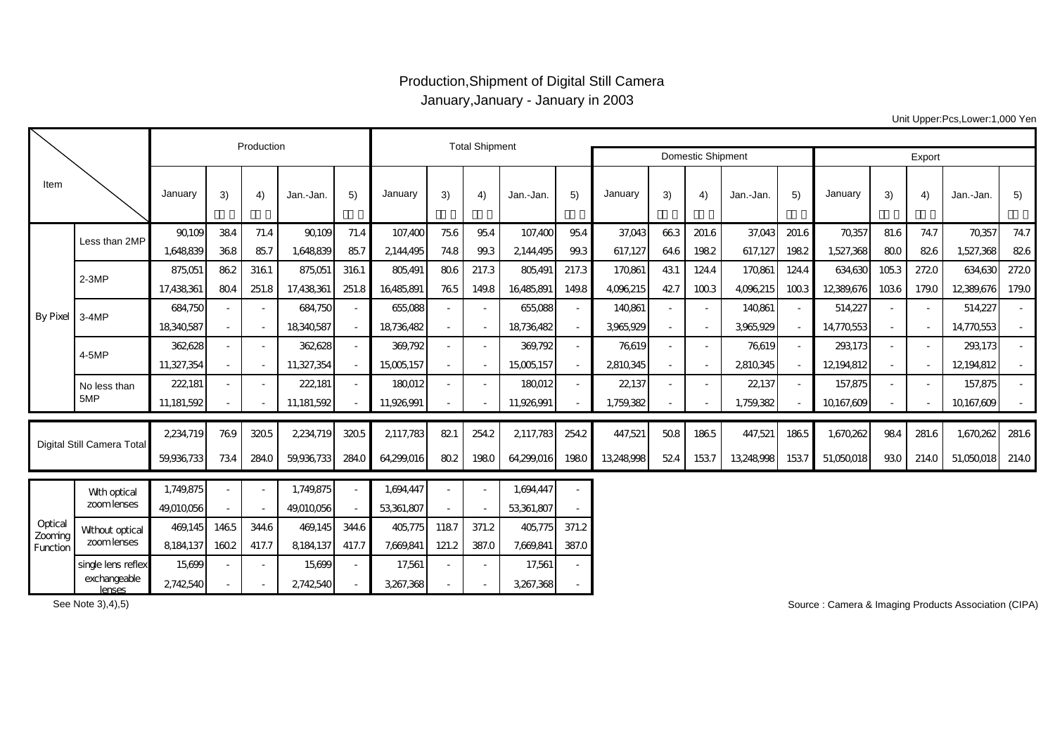## Production,Shipment of Digital Still Camera January,January - January in 2003

Production **Total Shipment** Domestic Shipment Т Г Export

|                                |                                |            |      |       |            |                          |            |                          |       |            |       | טוווטטנוט טווואטוונ |      |                          |            |       | <b>LAPVIL</b> |                          |       |            |       |
|--------------------------------|--------------------------------|------------|------|-------|------------|--------------------------|------------|--------------------------|-------|------------|-------|---------------------|------|--------------------------|------------|-------|---------------|--------------------------|-------|------------|-------|
| Item                           |                                | January    | 3)   | 4)    | Jan.-Jan.  | 5)                       | January    | 3)                       | 4)    | Jan.-Jan.  | 5)    | January             | 3)   | 4)                       | Jan.-Jan.  | 5)    | January       | 3)                       | 4)    | Jan.-Jan.  | 5)    |
| <b>By Pixel</b>                | Less than 2MP                  | 90109      | 384  | 71.4  | 90109      | 71.4                     | 107,400    | 756                      | 95.4  | 107,400    | 954   | 37,043              | 663  | 201.6                    | 37,043     | 201.6 | 70,357        | 81.6                     | 74.7  | 70,357     | 74.7  |
|                                |                                | 1,648,839  | 368  | 857   | 1,648,839  | 85.7                     | 2144,495   | 74.8                     | 99.3  | 2144,495   | 99.3  | 617,127             | 64.6 | 1982                     | 617,127    | 1982  | 1,527,368     | 800                      | 826   | 1,527,368  | 826   |
|                                | $2-3MP$                        | 875,051    | 862  | 3161  | 875,051    | 3161                     | 805,491    | 806                      | 217.3 | 805,491    | 217.3 | 170861              | 431  | 124.4                    | 170,861    | 124.4 | 634,630       | 1053                     | 2720  | 634,630    | 2720  |
|                                |                                | 17,438,361 | 804  | 251.8 | 17,438,361 | 251.8                    | 16485,891  | 765                      | 149.8 | 16485,891  | 149.8 | 4,096,215           | 427  | 1003                     | 4,096,215  | 1003  | 12389,676     | 1036                     | 179.0 | 12389,676  | 179.0 |
|                                | $3-4MP$                        | 684,750    |      |       | 684,750    |                          | 655,088    | $\overline{\phantom{a}}$ |       | 655,088    |       | 140,861             |      | $\overline{\phantom{a}}$ | 140,861    |       | 514,227       | $\overline{\phantom{a}}$ |       | 514,227    |       |
|                                |                                | 18,340,587 |      |       | 18340587   | $\overline{\phantom{a}}$ | 18736482   | $\blacksquare$           |       | 18736482   |       | 3,965,929           |      | $\overline{\phantom{a}}$ | 3.965.929  |       | 14,770,553    | $\sim$                   |       | 14,770,553 |       |
|                                | 4-5MP                          | 362628     |      |       | 362,628    |                          | 369,792    |                          |       | 369,792    |       | 76619               |      |                          | 76619      |       | 293,173       | $\overline{\phantom{a}}$ |       | 293,173    |       |
|                                |                                | 11,327,354 |      |       | 11,327,354 | $\overline{\phantom{a}}$ | 15,005,157 | $\blacksquare$           |       | 15005157   |       | 2810345             |      |                          | 2810,345   |       | 12194812      | $\sim$                   |       | 12,194,812 |       |
|                                | No less than                   | 222,181    |      |       | 222,181    |                          | 180012     |                          |       | 180012     |       | 22,137              |      |                          | 22137      |       | 157,875       | $\overline{\phantom{a}}$ |       | 157,875    |       |
|                                | 5MP                            | 11,181,592 |      |       | 11,181,592 |                          | 11,926,991 |                          |       | 11,926,991 |       | 1,759,382           |      |                          | 1,759,382  |       | 10167,609     |                          |       | 10,167,609 |       |
| Digital Still Camera Total     |                                |            |      |       |            |                          |            |                          |       |            |       |                     |      |                          |            |       |               |                          |       |            |       |
|                                |                                | 2,234,719  | 769  | 3205  | 2,234,719  | 3205                     | 2,117,783  | 821                      | 254.2 | 2117,783   | 254.2 | 447,521             | 508  | 1865                     | 447,521    | 1865  | 1,670,262     | 984                      | 281.6 | 1,670,262  | 281.6 |
|                                |                                | 59,936,733 | 734  | 284.0 | 59,936,733 | 284.0                    | 64,299,016 | 802                      | 1980  | 64,299,016 | 1980  | 13,248,998          | 524  | 1537                     | 13,248,998 | 1537  | 51,050,018    | 930                      | 214.0 | 51,050,018 | 214.0 |
| Optical<br>Zooming<br>Function | Wth optical                    | 1,749,875  |      |       | 1,749,875  |                          | 1,694,447  |                          |       | 1,694,447  |       |                     |      |                          |            |       |               |                          |       |            |       |
|                                | zoom lenses                    | 49,010,056 |      |       | 49010056   |                          | 53,361,807 |                          |       | 53,361,807 |       |                     |      |                          |            |       |               |                          |       |            |       |
|                                | Without optical<br>zoom lenses | 469,145    | 1465 | 344.6 | 469,145    | 344.6                    | 405,775    | 1187                     | 371.2 | 405,775    | 371.2 |                     |      |                          |            |       |               |                          |       |            |       |
|                                |                                | 8,184,137  | 1602 | 417.7 | 8,184,137  | 417.7                    | 7,669,841  | 121.2                    | 387.0 | 7,669,841  | 387.0 |                     |      |                          |            |       |               |                          |       |            |       |
|                                | single lens reflex             | 15,699     |      |       | 15,699     |                          | 17,561     |                          |       | 17,561     |       |                     |      |                          |            |       |               |                          |       |            |       |

 $\frac{2,3,3,3,4,3}{2,7,42,540}$  -  $2,742,540$  - 3,267,368 - 3,267,368 -

See Note 3),4),5)

exchangeable lenses

Source : Camera & Imaging Products Association (CIPA)

Unit Upper:Pcs,Lower:1,000 Yen